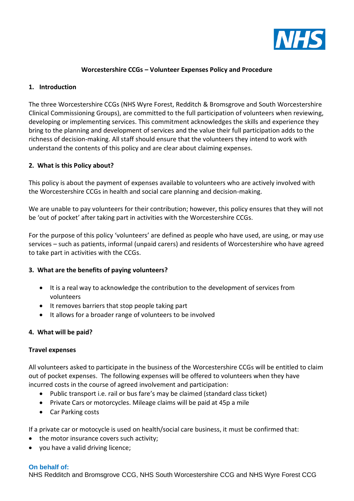

## **Worcestershire CCGs – Volunteer Expenses Policy and Procedure**

### **1. Introduction**

The three Worcestershire CCGs (NHS Wyre Forest, Redditch & Bromsgrove and South Worcestershire Clinical Commissioning Groups), are committed to the full participation of volunteers when reviewing, developing or implementing services. This commitment acknowledges the skills and experience they bring to the planning and development of services and the value their full participation adds to the richness of decision-making. All staff should ensure that the volunteers they intend to work with understand the contents of this policy and are clear about claiming expenses.

### **2. What is this Policy about?**

This policy is about the payment of expenses available to volunteers who are actively involved with the Worcestershire CCGs in health and social care planning and decision-making.

We are unable to pay volunteers for their contribution; however, this policy ensures that they will not be 'out of pocket' after taking part in activities with the Worcestershire CCGs.

For the purpose of this policy 'volunteers' are defined as people who have used, are using, or may use services – such as patients, informal (unpaid carers) and residents of Worcestershire who have agreed to take part in activities with the CCGs.

### **3. What are the benefits of paying volunteers?**

- It is a real way to acknowledge the contribution to the development of services from volunteers
- It removes barriers that stop people taking part
- It allows for a broader range of volunteers to be involved

### **4. What will be paid?**

### **Travel expenses**

All volunteers asked to participate in the business of the Worcestershire CCGs will be entitled to claim out of pocket expenses. The following expenses will be offered to volunteers when they have incurred costs in the course of agreed involvement and participation:

- Public transport i.e. rail or bus fare's may be claimed (standard class ticket)
- Private Cars or motorcycles. Mileage claims will be paid at 45p a mile
- Car Parking costs

If a private car or motocycle is used on health/social care business, it must be confirmed that:

- the motor insurance covers such activity;
- you have a valid driving licence;

### **On behalf of:**

NHS Redditch and Bromsgrove CCG, NHS South Worcestershire CCG and NHS Wyre Forest CCG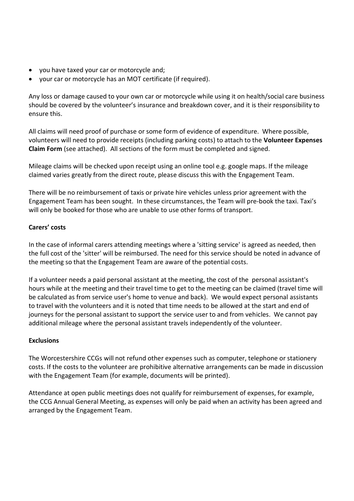- you have taxed your car or motorcycle and;
- your car or motorcycle has an MOT certificate (if required).

Any loss or damage caused to your own car or motorcycle while using it on health/social care business should be covered by the volunteer's insurance and breakdown cover, and it is their responsibility to ensure this.

All claims will need proof of purchase or some form of evidence of expenditure. Where possible, volunteers will need to provide receipts (including parking costs) to attach to the **Volunteer Expenses Claim Form** (see attached). All sections of the form must be completed and signed.

Mileage claims will be checked upon receipt using an online tool e.g. google maps. If the mileage claimed varies greatly from the direct route, please discuss this with the Engagement Team.

There will be no reimbursement of taxis or private hire vehicles unless prior agreement with the Engagement Team has been sought. In these circumstances, the Team will pre-book the taxi. Taxi's will only be booked for those who are unable to use other forms of transport.

# **Carers' costs**

In the case of informal carers attending meetings where a 'sitting service' is agreed as needed, then the full cost of the 'sitter' will be reimbursed. The need for this service should be noted in advance of the meeting so that the Engagement Team are aware of the potential costs.

If a volunteer needs a paid personal assistant at the meeting, the cost of the personal assistant's hours while at the meeting and their travel time to get to the meeting can be claimed (travel time will be calculated as from service user's home to venue and back). We would expect personal assistants to travel with the volunteers and it is noted that time needs to be allowed at the start and end of journeys for the personal assistant to support the service user to and from vehicles. We cannot pay additional mileage where the personal assistant travels independently of the volunteer.

# **Exclusions**

The Worcestershire CCGs will not refund other expenses such as computer, telephone or stationery costs. If the costs to the volunteer are prohibitive alternative arrangements can be made in discussion with the Engagement Team (for example, documents will be printed).

Attendance at open public meetings does not qualify for reimbursement of expenses, for example, the CCG Annual General Meeting, as expenses will only be paid when an activity has been agreed and arranged by the Engagement Team.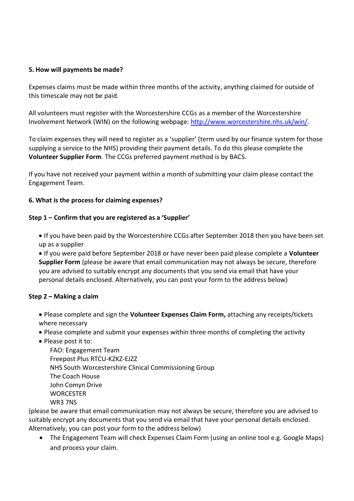## **5. How will payments be made?**

Expenses claims must be made within three months of the activity, anything claimed for outside of this timescale may not be paid.

All volunteers must register with the Worcestershire CCGs as a member of the Worcestershire Involvement Network (WIN) on the following webpage: [http://www.worcestershire.nhs.uk/win/.](http://www.worcestershire.nhs.uk/win/)

To claim expenses they will need to register as a 'supplier' (term used by our finance system for those supplying a service to the NHS) providing their payment details. To do this please complete the **Volunteer Supplier Form**. The CCGs preferred payment method is by BACS.

If you have not received your payment within a month of submitting your claim please contact the Engagement Team.

### **6. What is the process for claiming expenses?**

### **Step 1 – Confirm that you are registered as a 'Supplier'**

• If you have been paid by the Worcestershire CCGs after September 2018 then you have been set up as a supplier

• If you were paid before September 2018 or have never been paid please complete a **Volunteer Supplier Form** (please be aware that email communication may not always be secure, therefore you are advised to suitably encrypt any documents that you send via email that have your personal details enclosed. Alternatively, you can post your form to the address below)

### **Step 2 – Making a claim**

• Please complete and sign the **Volunteer Expenses Claim Form,** attaching any receipts/tickets where necessary

- Please complete and submit your expenses within three months of completing the activity
- Please post it to:

FAO: Engagement Team Freepost Plus RTCU-KZKZ-EJZZ NHS South Worcestershire Clinical Commissioning Group The Coach House John Comyn Drive **WORCESTER** WR3 7NS

(please be aware that email communication may not always be secure, therefore you are advised to suitably encrypt any documents that you send via email that have your personal details enclosed. Alternatively, you can post your form to the address below)

• The Engagement Team will check Expenses Claim Form (using an online tool e.g. Google Maps) and process your claim.